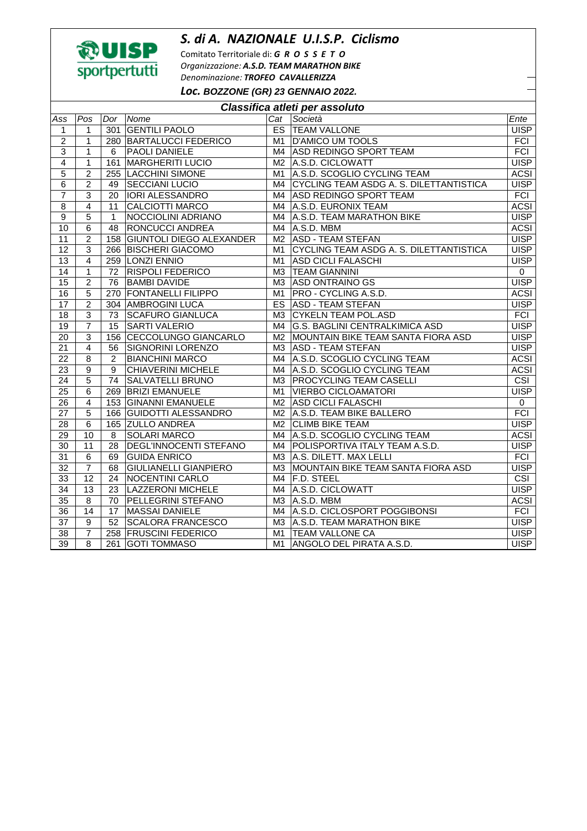## *S. di A. NAZIONALE U.I.S.P. Ciclismo*



Comitato Territoriale di: *G R O S S E T O Organizzazione: A.S.D. TEAM MARATHON BIKE Denominazione: TROFEO CAVALLERIZZA Loc.* **BOZZONE (GR) 23 GENNAIO 2022.** 

| Classifica atleti per assoluto |                 |                |                                 |                |                                         |                         |  |  |  |
|--------------------------------|-----------------|----------------|---------------------------------|----------------|-----------------------------------------|-------------------------|--|--|--|
| Ass                            | Pos             | Dor            | Nome                            | Cat            | Società                                 | Ente                    |  |  |  |
| 1                              | $\mathbf{1}$    | 301            | <b>GENTILI PAOLO</b>            | ES             | <b>TEAM VALLONE</b>                     | <b>UISP</b>             |  |  |  |
| $\overline{c}$                 | $\mathbf{1}$    | 280            | <b>BARTALUCCI FEDERICO</b>      | M1             | <b>D'AMICO UM TOOLS</b>                 | <b>FCI</b>              |  |  |  |
| 3                              | $\mathbf{1}$    | 6              | PAOLI DANIELE                   | M4             | <b>ASD REDINGO SPORT TEAM</b>           | FCI                     |  |  |  |
| $\overline{4}$                 | $\overline{1}$  | 161            | <b>MARGHERITI LUCIO</b>         | M2             | A.S.D. CICLOWATT                        | <b>UISP</b>             |  |  |  |
| 5                              | $\overline{2}$  | 255            | <b>LACCHINI SIMONE</b>          | M1             | A.S.D. SCOGLIO CYCLING TEAM             | <b>ACSI</b>             |  |  |  |
| 6                              | $\overline{2}$  | 49             | <b>SECCIANI LUCIO</b>           | M4             | CYCLING TEAM ASDG A. S. DILETTANTISTICA | <b>UISP</b>             |  |  |  |
| 7                              | 3               | 20             | <b>IORI ALESSANDRO</b>          | M4             | <b>ASD REDINGO SPORT TEAM</b>           | <b>FCI</b>              |  |  |  |
| 8                              | $\overline{4}$  | 11             | <b>CALCIOTTI MARCO</b>          | M4             | A.S.D. EURONIX TEAM                     | <b>ACSI</b>             |  |  |  |
| 9                              | $\overline{5}$  | $\mathbf{1}$   | NOCCIOLINI ADRIANO              | M4             | A.S.D. TEAM MARATHON BIKE               | <b>UISP</b>             |  |  |  |
| $\overline{10}$                | $\overline{6}$  | 48             | RONCUCCI ANDREA                 | M4             | A.S.D. MBM                              | <b>ACSI</b>             |  |  |  |
| 11                             | $\overline{2}$  | 158            | <b>GIUNTOLI DIEGO ALEXANDER</b> | M2             | <b>ASD - TEAM STEFAN</b>                | <b>UISP</b>             |  |  |  |
| $\overline{12}$                | $\overline{3}$  | 266            | <b>BISCHERI GIACOMO</b>         | M <sub>1</sub> | CYCLING TEAM ASDG A. S. DILETTANTISTICA | <b>UISP</b>             |  |  |  |
| 13                             | $\overline{4}$  |                | 259 LONZI ENNIO                 | M1             | <b>ASD CICLI FALASCHI</b>               | <b>UISP</b>             |  |  |  |
| $\overline{14}$                | $\mathbf{1}$    | 72             | <b>RISPOLI FEDERICO</b>         | M <sub>3</sub> | <b>TEAM GIANNINI</b>                    | $\mathsf{O}$            |  |  |  |
| 15                             | $\overline{2}$  | 76             | <b>BAMBI DAVIDE</b>             | МЗ             | <b>ASD ONTRAINO GS</b>                  | <b>UISP</b>             |  |  |  |
| 16                             | 5               |                | 270 FONTANELLI FILIPPO          | M1             | PRO - CYCLING A.S.D.                    | <b>ACSI</b>             |  |  |  |
| 17                             | $\overline{2}$  |                | 304 AMBROGINI LUCA              |                | ES   ASD - TEAM STEFAN                  | <b>UISP</b>             |  |  |  |
| 18                             | 3               | 73             | <b>SCAFURO GIANLUCA</b>         | M <sub>3</sub> | <b>CYKELN TEAM POL.ASD</b>              | <b>FCI</b>              |  |  |  |
| 19                             | $\overline{7}$  | 15             | <b>SARTI VALERIO</b>            | M4             | <b>G.S. BAGLINI CENTRALKIMICA ASD</b>   | <b>UISP</b>             |  |  |  |
| 20                             | $\overline{3}$  | 156            | CECCOLUNGO GIANCARLO            |                | M2 MOUNTAIN BIKE TEAM SANTA FIORA ASD   | <b>UISP</b>             |  |  |  |
| 21                             | $\overline{4}$  | 56             | SIGNORINI LORENZO               |                | M3 ASD - TEAM STEFAN                    | <b>UISP</b>             |  |  |  |
| 22                             | 8               | $\overline{2}$ | <b>BIANCHINI MARCO</b>          |                | M4 A.S.D. SCOGLIO CYCLING TEAM          | <b>ACSI</b>             |  |  |  |
| $\overline{23}$                | $\overline{9}$  | 9              | <b>CHIAVERINI MICHELE</b>       | M4             | A.S.D. SCOGLIO CYCLING TEAM             | <b>ACSI</b>             |  |  |  |
| $\overline{24}$                | 5               | 74             | SALVATELLI BRUNO                | МЗ             | <b>PROCYCLING TEAM CASELLI</b>          | $\overline{\text{CSI}}$ |  |  |  |
| 25                             | 6               | 269            | <b>BRIZI EMANUELE</b>           | M1             | <b>VIERBO CICLOAMATORI</b>              | <b>UISP</b>             |  |  |  |
| 26                             | $\overline{4}$  |                | 153 GINANNI EMANUELE            |                | M2 ASD CICLI FALASCHI                   | $\mathsf{O}$            |  |  |  |
| 27                             | 5               | 166            | <b>GUIDOTTI ALESSANDRO</b>      | M2             | A.S.D. TEAM BIKE BALLERO                | FCI                     |  |  |  |
| 28                             | 6               |                | 165 ZULLO ANDREA                |                | M2 CLIMB BIKE TEAM                      | <b>UISP</b>             |  |  |  |
| 29                             | 10              | 8              | <b>SOLARI MARCO</b>             | M4             | A.S.D. SCOGLIO CYCLING TEAM             | <b>ACSI</b>             |  |  |  |
| $\overline{30}$                | $\overline{11}$ | 28             | DEGL'INNOCENTI STEFANO          |                | M4 POLISPORTIVA ITALY TEAM A.S.D.       | <b>UISP</b>             |  |  |  |
| 31                             | 6               | 69             | <b>GUIDA ENRICO</b>             |                | M3 A.S. DILETT. MAX LELLI               | <b>FCI</b>              |  |  |  |
| $\overline{32}$                | $\overline{7}$  | 68             | <b>GIULIANELLI GIANPIERO</b>    |                | M3 MOUNTAIN BIKE TEAM SANTA FIORA ASD   | <b>UISP</b>             |  |  |  |
| 33                             | $\overline{12}$ | 24             | <b>NOCENTINI CARLO</b>          | M4             | <b>F.D. STEEL</b>                       | $\overline{\text{CSI}}$ |  |  |  |
| 34                             | $\overline{13}$ | 23             | <b>LAZZERONI MICHELE</b>        | M4             | A.S.D. CICLOWATT                        | <b>UISP</b>             |  |  |  |
| $\overline{35}$                | 8               | 70             | PELLEGRINI STEFANO              | M <sub>3</sub> | A.S.D. MBM                              | <b>ACSI</b>             |  |  |  |
| 36                             | 14              | 17             | <b>MASSAI DANIELE</b>           | M4             | A.S.D. CICLOSPORT POGGIBONSI            | <b>FCI</b>              |  |  |  |
| 37                             | 9               | 52             | <b>SCALORA FRANCESCO</b>        |                | M3   A.S.D. TEAM MARATHON BIKE          | <b>UISP</b>             |  |  |  |
| 38                             | $\overline{7}$  | 258            | <b>FRUSCINI FEDERICO</b>        | M1             | <b>TEAM VALLONE CA</b>                  | <b>UISP</b>             |  |  |  |
| $\overline{39}$                | 8               | 261            | <b>GOTI TOMMASO</b>             | M1             | ANGOLO DEL PIRATA A.S.D.                | <b>UISP</b>             |  |  |  |